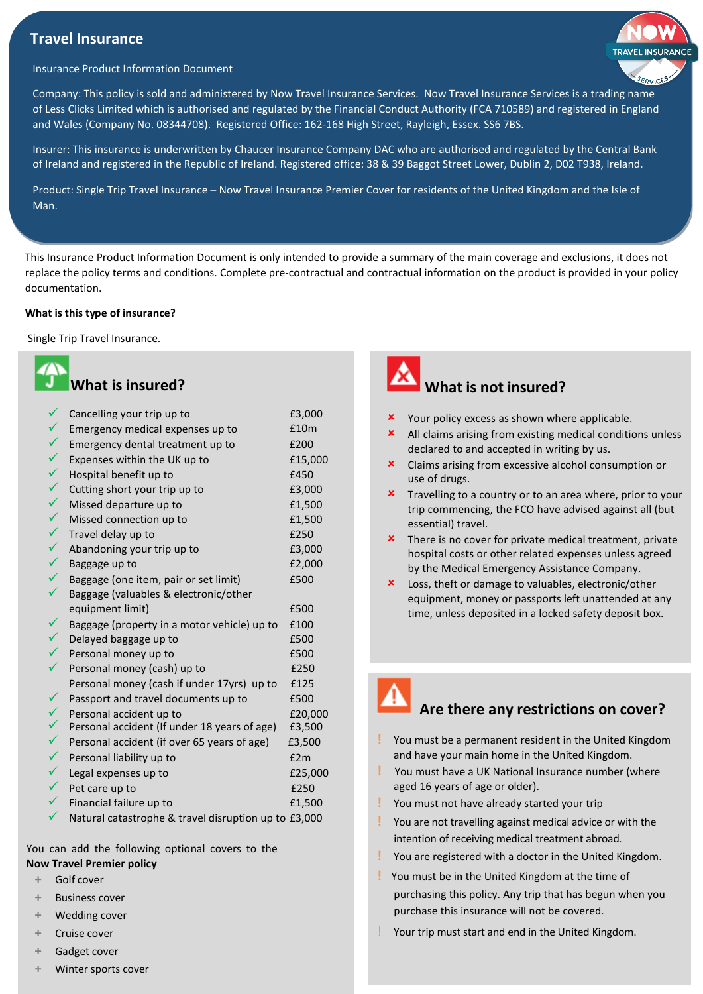## **Travel Insurance**



### Insurance Product Information Document

Company: This policy is sold and administered by Now Travel Insurance Services. Now Travel Insurance Services is a trading name of Less Clicks Limited which is authorised and regulated by the Financial Conduct Authority (FCA 710589) and registered in England and Wales (Company No. 08344708). Registered Office: 162-168 High Street, Rayleigh, Essex. SS6 7BS.

Insurer: This insurance is underwritten by Chaucer Insurance Company DAC who are authorised and regulated by the Central Bank of Ireland and registered in the Republic of Ireland. Registered office: 38 & 39 Baggot Street Lower, Dublin 2, D02 T938, Ireland.

Product: Single Trip Travel Insurance – Now Travel Insurance Premier Cover for residents of the United Kingdom and the Isle of Man.

This Insurance Product Information Document is only intended to provide a summary of the main coverage and exclusions, it does not replace the policy terms and conditions. Complete pre-contractual and contractual information on the product is provided in your policy documentation.

### **What is this type of insurance?**

Single Trip Travel Insurance.

| <b>What is insured?</b> |
|-------------------------|
|-------------------------|

| $\checkmark$ | Cancelling your trip up to                           | £3,000  |
|--------------|------------------------------------------------------|---------|
| ✓            | Emergency medical expenses up to                     | £10m    |
| $\checkmark$ | Emergency dental treatment up to                     | £200    |
| $\checkmark$ | Expenses within the UK up to                         | £15,000 |
| $\checkmark$ | Hospital benefit up to                               | £450    |
| $\checkmark$ | Cutting short your trip up to                        | £3,000  |
| $\checkmark$ | Missed departure up to                               | £1,500  |
| $\checkmark$ | Missed connection up to                              | £1,500  |
| $\checkmark$ | Travel delay up to                                   | £250    |
| ✓            | Abandoning your trip up to                           | £3,000  |
| $\checkmark$ | Baggage up to                                        | £2,000  |
| $\checkmark$ | Baggage (one item, pair or set limit)                | £500    |
|              | Baggage (valuables & electronic/other                |         |
|              | equipment limit)                                     | £500    |
| $\checkmark$ | Baggage (property in a motor vehicle) up to          | £100    |
| $\checkmark$ | Delayed baggage up to                                | £500    |
| $\checkmark$ | Personal money up to                                 | £500    |
| ✓            | Personal money (cash) up to                          | £250    |
|              | Personal money (cash if under 17yrs) up to           | £125    |
| $\checkmark$ | Passport and travel documents up to                  | £500    |
| $\checkmark$ | Personal accident up to                              | £20,000 |
| $\checkmark$ | Personal accident (If under 18 years of age)         | £3,500  |
| $\checkmark$ | Personal accident (if over 65 years of age)          | £3,500  |
| $\checkmark$ | Personal liability up to                             | £2m     |
| $\checkmark$ | Legal expenses up to                                 | £25,000 |
| $\checkmark$ | Pet care up to                                       | £250    |
|              | Financial failure up to                              | £1,500  |
|              | Natural catastrophe & travel disruption up to £3,000 |         |

You can add the following optional covers to the

- **Now Travel Premier policy**
	- **+** Golf cover
	- **+** Business cover
	- **+** Wedding cover
	- **+** Cruise cover
	- **+** Gadget cover
	- **+** Winter sports cover



- **x** Your policy excess as shown where applicable.
- All claims arising from existing medical conditions unless declared to and accepted in writing by us.
- Claims arising from excessive alcohol consumption or use of drugs.
- **x** Travelling to a country or to an area where, prior to your trip commencing, the FCO have advised against all (but essential) travel.
- $\boldsymbol{\star}$  There is no cover for private medical treatment, private hospital costs or other related expenses unless agreed by the Medical Emergency Assistance Company.
- Loss, theft or damage to valuables, electronic/other equipment, money or passports left unattended at any time, unless deposited in a locked safety deposit box.



# **Are there any restrictions on cover?**

- **!** You must be a permanent resident in the United Kingdom and have your main home in the United Kingdom.
- **!** You must have a UK National Insurance number (where aged 16 years of age or older).
- **!** You must not have already started your trip
- **!** You are not travelling against medical advice or with the intention of receiving medical treatment abroad.
- **!** You are registered with a doctor in the United Kingdom.
- **!** You must be in the United Kingdom at the time of purchasing this policy. Any trip that has begun when you purchase this insurance will not be covered.
- Your trip must start and end in the United Kingdom.